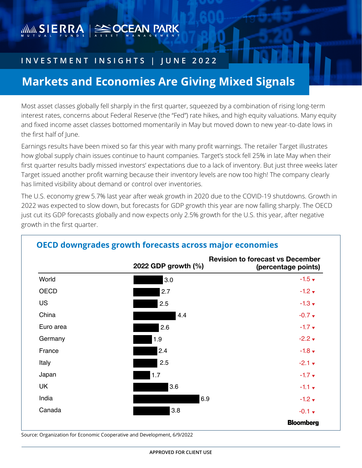# WWW SIERRA SE POCEAN PARK

### **INVESTMENT INSIGHTS | JUNE 2022**

## **Markets and Economies Are Giving Mixed Signals**

Most asset classes globally fell sharply in the first quarter, squeezed by a combination of rising long-term interest rates, concerns about Federal Reserve (the "Fed") rate hikes, and high equity valuations. Many equity and fixed income asset classes bottomed momentarily in May but moved down to new year-to-date lows in the first half of June.

Earnings results have been mixed so far this year with many profit warnings. The retailer Target illustrates how global supply chain issues continue to haunt companies. Target's stock fell 25% in late May when their first quarter results badly missed investors' expectations due to a lack of inventory. But just three weeks later Target issued another profit warning because their inventory levels are now too high! The company clearly has limited visibility about demand or control over inventories.

The U.S. economy grew 5.7% last year after weak growth in 2020 due to the COVID-19 shutdowns. Growth in 2022 was expected to slow down, but forecasts for GDP growth this year are now falling sharply. The OECD just cut its GDP forecasts globally and now expects only 2.5% growth for the U.S. this year, after negative growth in the first quarter.



#### **OECD downgrades growth forecasts across major economies**

Source: Organization for Economic Cooperative and Development, 6/9/2022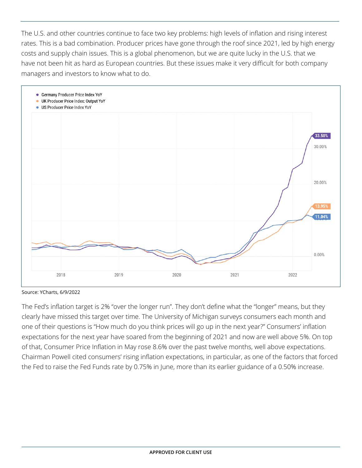The U.S. and other countries continue to face two key problems: high levels of inflation and rising interest rates. This is a bad combination. Producer prices have gone through the roof since 2021, led by high energy costs and supply chain issues. This is a global phenomenon, but we are quite lucky in the U.S. that we have not been hit as hard as European countries. But these issues make it very difficult for both company managers and investors to know what to do.



Source: YCharts, 6/9/2022

The Fed's inflation target is 2% "over the longer run". They don't define what the "longer" means, but they clearly have missed this target over time. The University of Michigan surveys consumers each month and one of their questions is "How much do you think prices will go up in the next year?" Consumers' inflation expectations for the next year have soared from the beginning of 2021 and now are well above 5%. On top of that, Consumer Price Inflation in May rose 8.6% over the past twelve months, well above expectations. Chairman Powell cited consumers' rising inflation expectations, in particular, as one of the factors that forced the Fed to raise the Fed Funds rate by 0.75% in June, more than its earlier guidance of a 0.50% increase.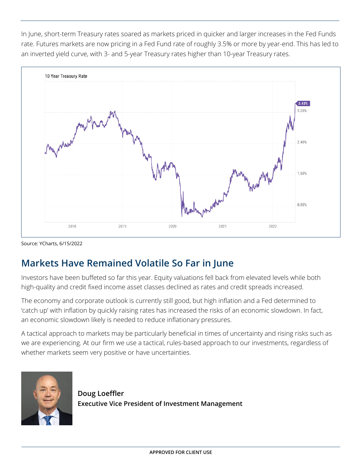In June, short-term Treasury rates soared as markets priced in quicker and larger increases in the Fed Funds rate. Futures markets are now pricing in a Fed Fund rate of roughly 3.5% or more by year-end. This has led to an inverted yield curve, with 3- and 5-year Treasury rates higher than 10-year Treasury rates.



Source: YCharts, 6/15/2022

## **Markets Have Remained Volatile So Far in June**

Investors have been buffeted so far this year. Equity valuations fell back from elevated levels while both high-quality and credit fixed income asset classes declined as rates and credit spreads increased.

The economy and corporate outlook is currently still good, but high inflation and a Fed determined to 'catch up' with inflation by quickly raising rates has increased the risks of an economic slowdown. In fact, an economic slowdown likely is needed to reduce inflationary pressures.

A tactical approach to markets may be particularly beneficial in times of uncertainty and rising risks such as we are experiencing. At our firm we use a tactical, rules-based approach to our investments, regardless of whether markets seem very positive or have uncertainties.



**Doug Loeffler Executive Vice President of Investment Management**